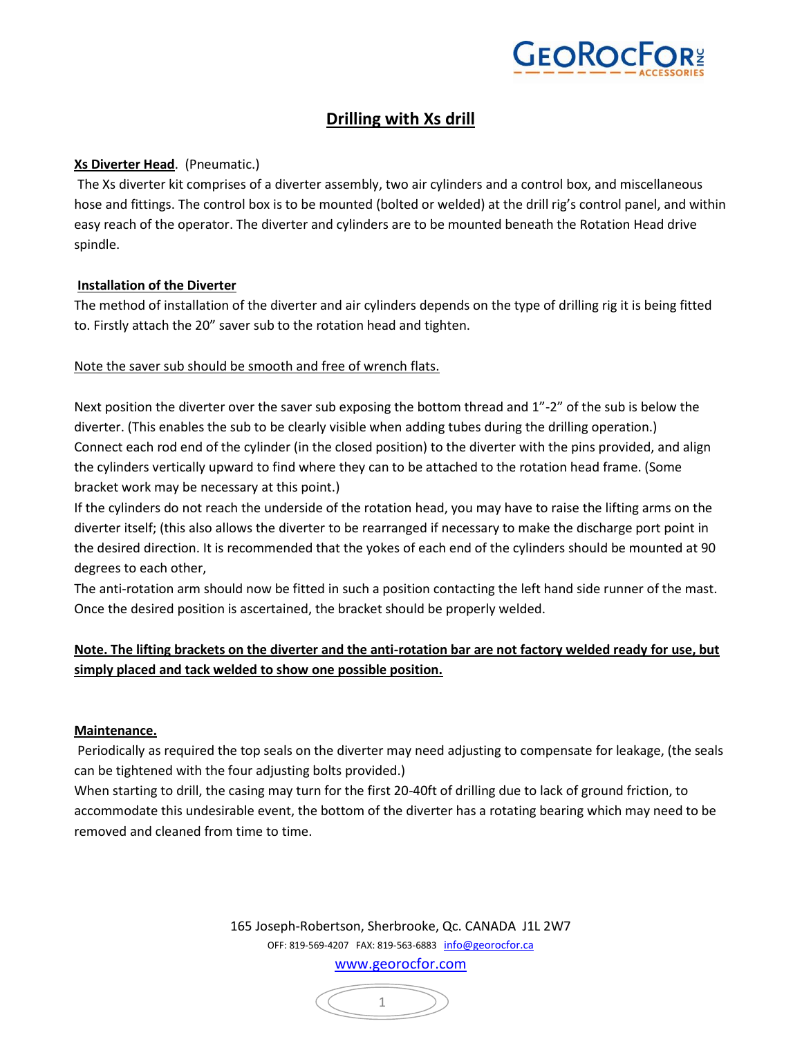

# **Drilling with Xs drill**

### **Xs Diverter Head**. (Pneumatic.)

The Xs diverter kit comprises of a diverter assembly, two air cylinders and a control box, and miscellaneous hose and fittings. The control box is to be mounted (bolted or welded) at the drill rig's control panel, and within easy reach of the operator. The diverter and cylinders are to be mounted beneath the Rotation Head drive spindle.

#### **Installation of the Diverter**

The method of installation of the diverter and air cylinders depends on the type of drilling rig it is being fitted to. Firstly attach the 20" saver sub to the rotation head and tighten.

#### Note the saver sub should be smooth and free of wrench flats.

Next position the diverter over the saver sub exposing the bottom thread and 1"-2" of the sub is below the diverter. (This enables the sub to be clearly visible when adding tubes during the drilling operation.) Connect each rod end of the cylinder (in the closed position) to the diverter with the pins provided, and align the cylinders vertically upward to find where they can to be attached to the rotation head frame. (Some bracket work may be necessary at this point.)

If the cylinders do not reach the underside of the rotation head, you may have to raise the lifting arms on the diverter itself; (this also allows the diverter to be rearranged if necessary to make the discharge port point in the desired direction. It is recommended that the yokes of each end of the cylinders should be mounted at 90 degrees to each other,

The anti-rotation arm should now be fitted in such a position contacting the left hand side runner of the mast. Once the desired position is ascertained, the bracket should be properly welded.

# **Note. The lifting brackets on the diverter and the anti-rotation bar are not factory welded ready for use, but simply placed and tack welded to show one possible position.**

#### **Maintenance.**

Periodically as required the top seals on the diverter may need adjusting to compensate for leakage, (the seals can be tightened with the four adjusting bolts provided.)

When starting to drill, the casing may turn for the first 20-40ft of drilling due to lack of ground friction, to accommodate this undesirable event, the bottom of the diverter has a rotating bearing which may need to be removed and cleaned from time to time.

> 165 Joseph-Robertson, Sherbrooke, Qc. CANADA J1L 2W7 OFF: 819-569-4207 FAX: 819-563-6883 info@georocfor.ca www.georocfor.com